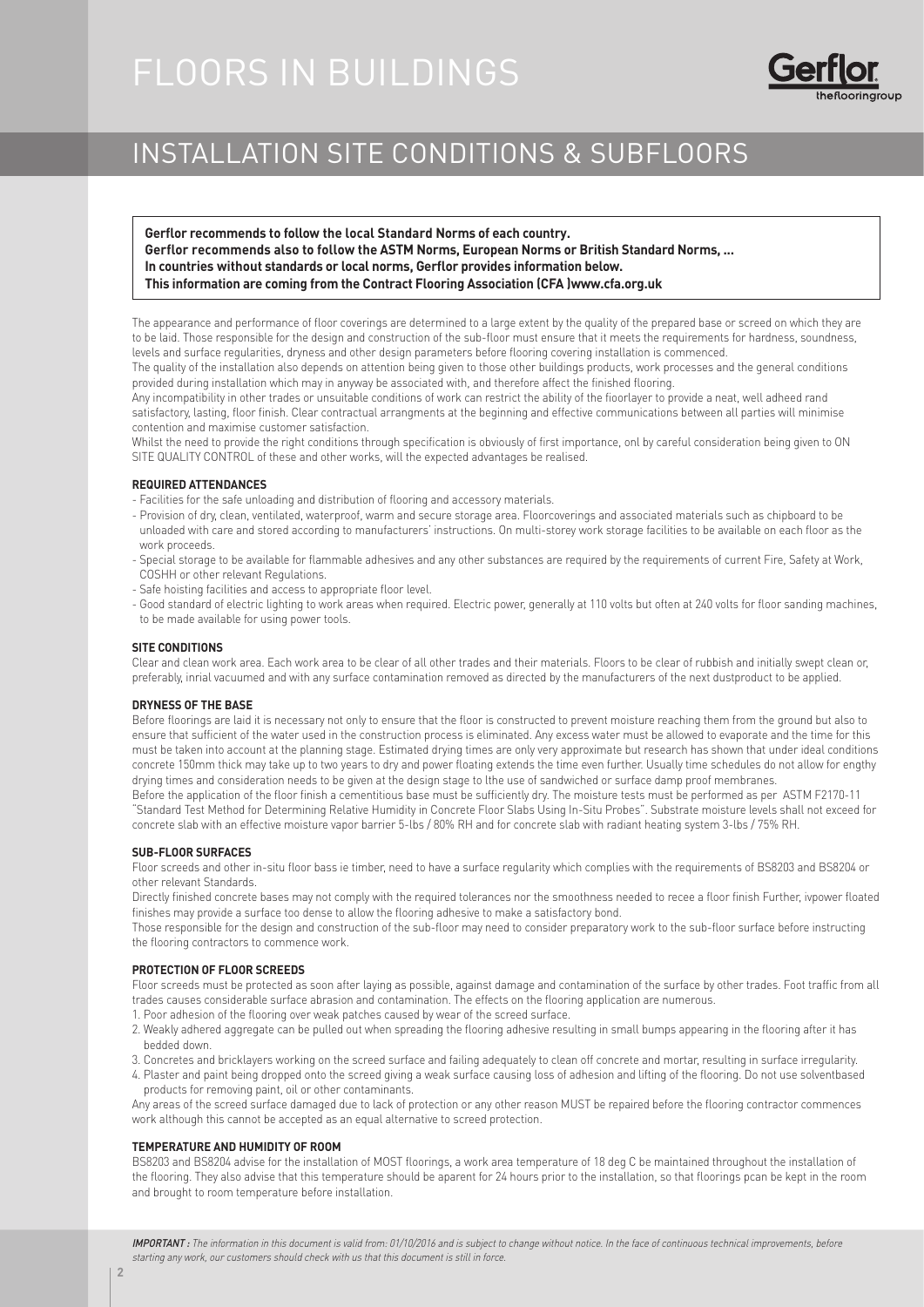# FLOORS IN BUILDINGS



# INSTALLATION SITE CONDITIONS & SUBFLOORS

**Gerflor recommends to follow the local Standard Norms of each country. Gerflor recommends also to follow the ASTM Norms, European Norms or British Standard Norms, ... In countries without standards or local norms, Gerflor provides information below. This information are coming from the Contract Flooring Association (CFA )www.cfa.org.uk**

The appearance and performance of floor coverings are determined to a large extent by the quality of the prepared base or screed on which they are to be laid. Those responsible for the design and construction of the sub-floor must ensure that it meets the requirements for hardness, soundness, levels and surface regularities, dryness and other design parameters before flooring covering installation is commenced.

The quality of the installation also depends on attention being given to those other buildings products, work processes and the general conditions provided during installation which may in anyway be associated with, and therefore affect the finished flooring.

Any incompatibility in other trades or unsuitable conditions of work can restrict the ability of the fioorlayer to provide a neat, well adheed rand satisfactory, lasting, floor finish. Clear contractual arrangments at the beginning and effective communications between all parties will minimise contention and maximise customer satisfaction.

Whilst the need to provide the right conditions through specification is obviously of first importance, onl by careful consideration being given to ON SITE QUALITY CONTROL of these and other works, will the expected advantages be realised.

# **REQUIRED ATTENDANCES**

- Facilities for the safe unloading and distribution of flooring and accessory materials.
- Provision of dry, clean, ventilated, waterproof, warm and secure storage area. Floorcoverings and associated materials such as chipboard to be unloaded with care and stored according to manufacturers' instructions. On multi-storey work storage facilities to be available on each floor as the work proceeds.
- Special storage to be available for flammable adhesives and any other substances are required by the requirements of current Fire, Safety at Work, COSHH or other relevant Regulations.
- Safe hoisting facilities and access to appropriate floor level.
- Good standard of electric lighting to work areas when required. Electric power, generally at 110 volts but often at 240 volts for floor sanding machines, to be made available for using power tools.

## **SITE CONDITIONS**

Clear and clean work area. Each work area to be clear of all other trades and their materials. Floors to be clear of rubbish and initially swept clean or, preferably, inrial vacuumed and with any surface contamination removed as directed by the manufacturers of the next dustproduct to be applied.

### **DRYNESS OF THE BASE**

Before floorings are laid it is necessary not only to ensure that the floor is constructed to prevent moisture reaching them from the ground but also to ensure that sufficient of the water used in the construction process is eliminated. Any excess water must be allowed to evaporate and the time for this must be taken into account at the planning stage. Estimated drying times are only very approximate but research has shown that under ideal conditions concrete 150mm thick may take up to two years to dry and power floating extends the time even further. Usually time schedules do not allow for engthy drying times and consideration needs to be given at the design stage to lthe use of sandwiched or surface damp proof membranes.

Before the application of the floor finish a cementitious base must be sufficiently dry. The moisture tests must be performed as per ASTM F2170-11 "Standard Test Method for Determining Relative Humidity in Concrete Floor Slabs Using In-Situ Probes". Substrate moisture levels shall not exceed for concrete slab with an effective moisture vapor barrier 5-lbs / 80% RH and for concrete slab with radiant heating system 3-lbs / 75% RH.

## **SUB-FLOOR SURFACES**

Floor screeds and other in-situ floor bass ie timber, need to have a surface regularity which complies with the requirements of BS8203 and BS8204 or other relevant Standards.

Directly finished concrete bases may not comply with the required tolerances nor the smoothness needed to recee a floor finish Further, ivpower floated finishes may provide a surface too dense to allow the flooring adhesive to make a satisfactory bond.

Those responsible for the design and construction of the sub-floor may need to consider preparatory work to the sub-floor surface before instructing the flooring contractors to commence work.

### **PROTECTION OF FLOOR SCREEDS**

Floor screeds must be protected as soon after laying as possible, against damage and contamination of the surface by other trades. Foot traffic from all trades causes considerable surface abrasion and contamination. The effects on the flooring application are numerous.

- 1. Poor adhesion of the flooring over weak patches caused by wear of the screed surface.
- 2. Weakly adhered aggregate can be pulled out when spreading the flooring adhesive resulting in small bumps appearing in the flooring after it has bedded down.
- 3. Concretes and bricklayers working on the screed surface and failing adequately to clean off concrete and mortar, resulting in surface irregularity.
- 4. Plaster and paint being dropped onto the screed giving a weak surface causing loss of adhesion and lifting of the flooring. Do not use solventbased products for removing paint, oil or other contaminants.

Any areas of the screed surface damaged due to lack of protection or any other reason MUST be repaired before the flooring contractor commences work although this cannot be accepted as an equal alternative to screed protection.

### **TEMPERATURE AND HUMIDITY OF ROOM**

BS8203 and BS8204 advise for the installation of MOST floorings, a work area temperature of 18 deg C be maintained throughout the installation of the flooring. They also advise that this temperature should be aparent for 24 hours prior to the installation, so that floorings pcan be kept in the room and brought to room temperature before installation.

IMPORTANT : The information in this document is valid from: 01/10/2016 and is subject to change without notice. In the face of continuous technical improvements, before starting any work, our customers should check with us that this document is still in force.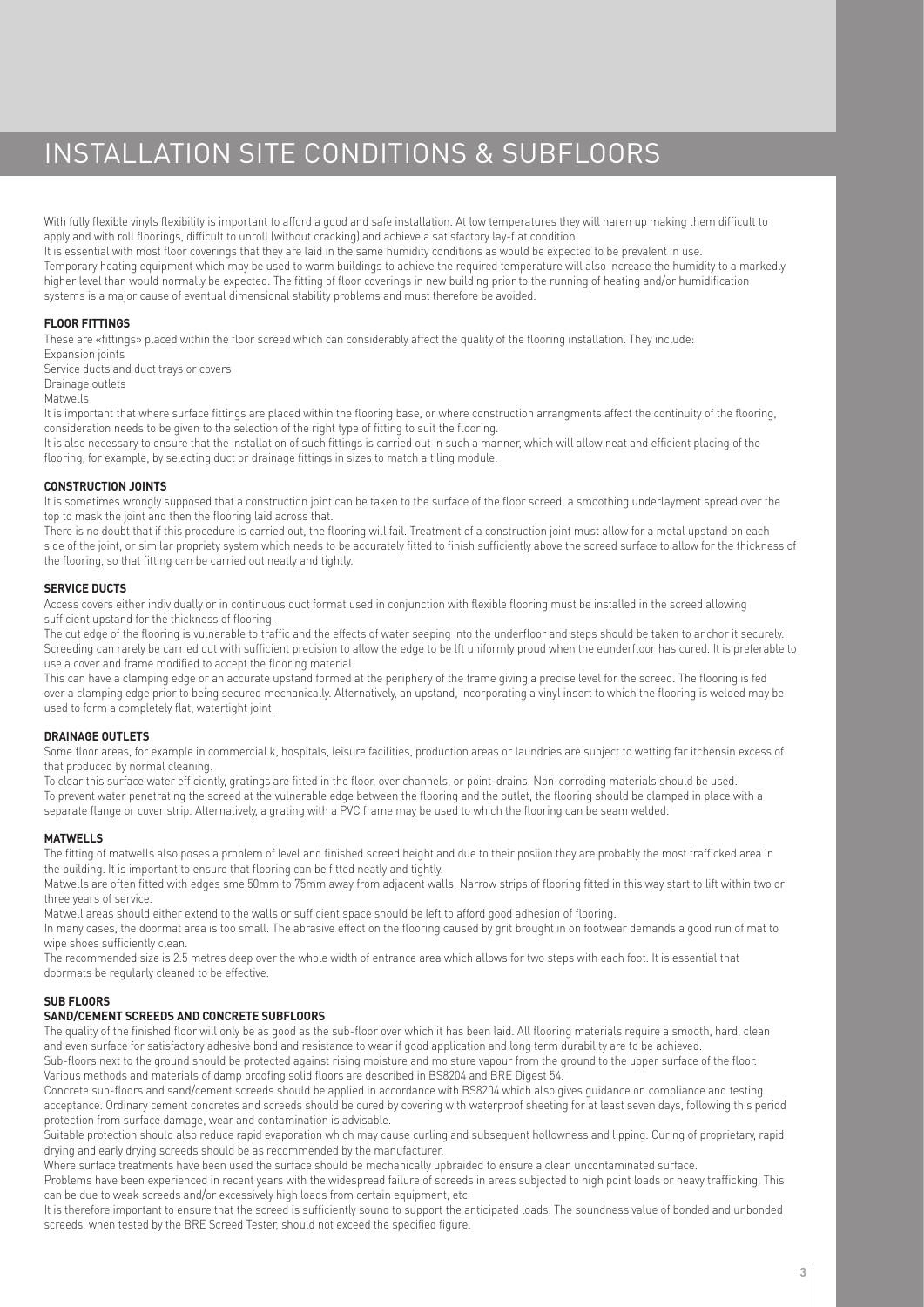# INSTALLATION SITE CONDITIONS & SUBFLOORS

With fully flexible vinyls flexibility is important to afford a good and safe installation. At low temperatures they will haren up making them difficult to apply and with roll floorings, difficult to unroll (without cracking) and achieve a satisfactory lay-flat condition. It is essential with most floor coverings that they are laid in the same humidity conditions as would be expected to be prevalent in use. Temporary heating equipment which may be used to warm buildings to achieve the required temperature will also increase the humidity to a markedly higher level than would normally be expected. The fitting of floor coverings in new building prior to the running of heating and/or humidification systems is a major cause of eventual dimensional stability problems and must therefore be avoided.

# **FLOOR FITTINGS**

These are «fittings» placed within the floor screed which can considerably affect the quality of the flooring installation. They include:

Expansion joints Service ducts and duct trays or covers Drainage outlets

Matwells

It is important that where surface fittings are placed within the flooring base, or where construction arrangments affect the continuity of the flooring, consideration needs to be given to the selection of the right type of fitting to suit the flooring.

It is also necessary to ensure that the installation of such fittings is carried out in such a manner, which will allow neat and efficient placing of the flooring, for example, by selecting duct or drainage fittings in sizes to match a tiling module.

## **CONSTRUCTION JOINTS**

It is sometimes wrongly supposed that a construction joint can be taken to the surface of the floor screed, a smoothing underlayment spread over the top sometimes in mask the joint and then the flooring laid across that.

There is no doubt that if this procedure is carried out, the flooring will fail. Treatment of a construction joint must allow for a metal upstand on each side of the joint, or similar propriety system which needs to be accurately fitted to finish sufficiently above the screed surface to allow for the thickness of the flooring, so that fitting can be carried out neatly and tightly.

## **SERVICE DUCTS**

Access covers either individually or in continuous duct format used in conjunction with flexible flooring must be installed in the screed allowing sufficient upstand for the thickness of flooring.

The cut edge of the flooring is vulnerable to traffic and the effects of water seeping into the underfloor and steps should be taken to anchor it securely. Screeding can rarely be carried out with sufficient precision to allow the edge to be lft uniformly proud when the eunderfloor has cured. It is preferable to use a cover and frame modified to accept the flooring material.

This can have a clamping edge or an accurate upstand formed at the periphery of the frame giving a precise level for the screed. The flooring is fed over a clamping edge prior to being secured mechanically. Alternatively, an upstand, incorporating a vinyl insert to which the flooring is welded may be used to form a completely flat, watertight joint.

# **DRAINAGE OUTLETS**

Some floor areas, for example in commercial k, hospitals, leisure facilities, production areas or laundries are subject to wetting far itchensin excess of that produced by normal cleaning.

To clear this surface water efficiently, gratings are fitted in the floor, over channels, or point-drains. Non-corroding materials should be used. To prevent water penetrating the screed at the vulnerable edge between the flooring and the outlet, the flooring should be clamped in place with a separate flange or cover strip. Alternatively, a grating with a PVC frame may be used to which the flooring can be seam welded.

### **MATWELLS**

The fitting of matwells also poses a problem of level and finished screed height and due to their posiion they are probably the most trafficked area in the building. It is important to ensure that flooring can be fitted neatly and tightly.

Matwells are often fitted with edges sme 50mm to 75mm away from adjacent walls. Narrow strips of flooring fitted in this way start to lift within two or three years of service.

Matwell areas should either extend to the walls or sufficient space should be left to afford good adhesion of flooring.

In many cases, the doormat area is too small. The abrasive effect on the flooring caused by grit brought in on footwear demands a good run of mat to wipe shoes sufficiently clean.

The recommended size is 2.5 metres deep over the whole width of entrance area which allows for two steps with each foot. It is essential that doormats be regularly cleaned to be effective.

# **SUB FLOORS**

# **SAND/CEMENT SCREEDS AND CONCRETE SUBFLOORS**

The quality of the finished floor will only be as good as the sub-floor over which it has been laid. All flooring materials require a smooth, hard, clean and even surface for satisfactory adhesive bond and resistance to wear if good application and long term durability are to be achieved. Sub-floors next to the ground should be protected against rising moisture and moisture vapour from the ground to the upper surface of the floor.

Various methods and materials of damp proofing solid floors are described in BS8204 and BRE Digest 54. Concrete sub-floors and sand/cement screeds should be applied in accordance with BS8204 which also gives guidance on compliance and testing acceptance. Ordinary cement concretes and screeds should be cured by covering with waterproof sheeting for at least seven days, following this period protection from surface damage, wear and contamination is advisable.

Suitable protection should also reduce rapid evaporation which may cause curling and subsequent hollowness and lipping. Curing of proprietary, rapid drying and early drying screeds should be as recommended by the manufacturer.

Where surface treatments have been used the surface should be mechanically upbraided to ensure a clean uncontaminated surface.

Problems have been experienced in recent years with the widespread failure of screeds in areas subjected to high point loads or heavy trafficking. This can be due to weak screeds and/or excessively high loads from certain equipment, etc.

It is therefore important to ensure that the screed is sufficiently sound to support the anticipated loads. The soundness value of bonded and unbonded screeds, when tested by the BRE Screed Tester, should not exceed the specified figure.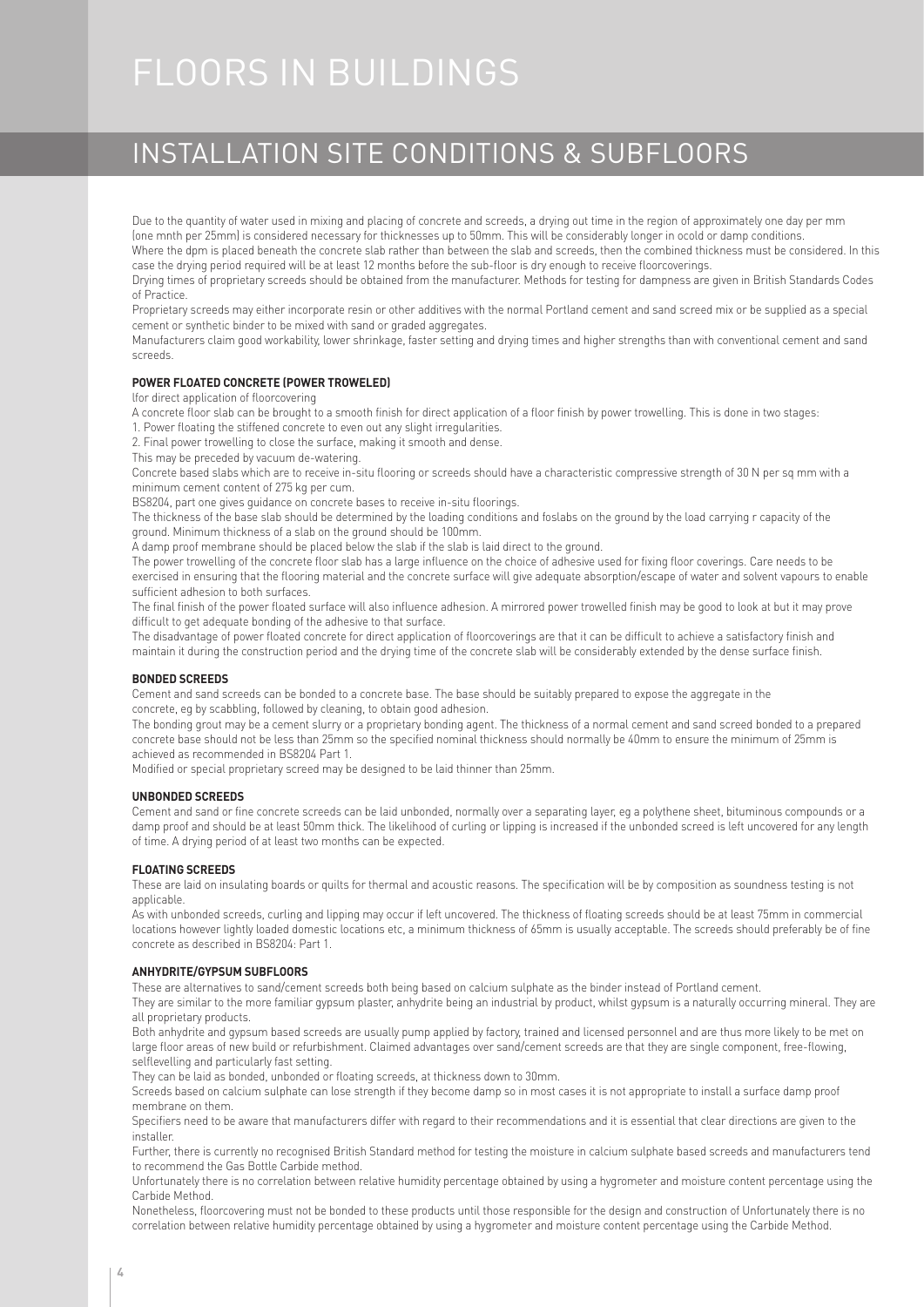# FLOORS IN BUILDINGS

# INSTALLATION SITE CONDITIONS & SUBFLOORS

Due to the quantity of water used in mixing and placing of concrete and screeds, a drying out time in the region of approximately one day per mm (one mnth per 25mm) is considered necessary for thicknesses up to 50mm. This will be considerably longer in ocold or damp conditions.

Where the dpm is placed beneath the concrete slab rather than between the slab and screeds, then the combined thickness must be considered. In this case the drying period required will be at least 12 months before the sub-floor is dry enough to receive floorcoverings.

Drying times of proprietary screeds should be obtained from the manufacturer. Methods for testing for dampness are given in British Standards Codes of Practice.

Proprietary screeds may either incorporate resin or other additives with the normal Portland cement and sand screed mix or be supplied as a special cement or synthetic binder to be mixed with sand or graded aggregates.

Manufacturers claim good workability, lower shrinkage, faster setting and drying times and higher strengths than with conventional cement and sand screeds.

# **POWER FLOATED CONCRETE (POWER TROWELED)**

lfor direct application of floorcovering

A concrete floor slab can be brought to a smooth finish for direct application of a floor finish by power trowelling. This is done in two stages: 1. Power floating the stiffened concrete to even out any slight irregularities.

2. Final power trowelling to close the surface, making it smooth and dense.

This may be preceded by vacuum de-watering.

Concrete based slabs which are to receive in-situ flooring or screeds should have a characteristic compressive strength of 30 N per sq mm with a minimum cement content of 275 kg per cum.

BS8204, part one gives guidance on concrete bases to receive in-situ floorings.

The thickness of the base slab should be determined by the loading conditions and foslabs on the ground by the load carrying r capacity of the ground. Minimum thickness of a slab on the ground should be 100mm.

A damp proof membrane should be placed below the slab if the slab is laid direct to the ground.

The power trowelling of the concrete floor slab has a large influence on the choice of adhesive used for fixing floor coverings. Care needs to be exercised in ensuring that the flooring material and the concrete surface will give adequate absorption/escape of water and solvent vapours to enable sufficient adhesion to both surfaces.

The final finish of the power floated surface will also influence adhesion. A mirrored power trowelled finish may be good to look at but it may prove difficult to get adequate bonding of the adhesive to that surface.

The disadvantage of power floated concrete for direct application of floorcoverings are that it can be difficult to achieve a satisfactory finish and maintain it during the construction period and the drying time of the concrete slab will be considerably extended by the dense surface finish.

### **BONDED SCREEDS**

Cement and sand screeds can be bonded to a concrete base. The base should be suitably prepared to expose the aggregate in the concrete, eg by scabbling, followed by cleaning, to obtain good adhesion.

The bonding grout may be a cement slurry or a proprietary bonding agent. The thickness of a normal cement and sand screed bonded to a prepared concrete base should not be less than 25mm so the specified nominal thickness should normally be 40mm to ensure the minimum of 25mm is achieved as recommended in BS8204 Part 1.

Modified or special proprietary screed may be designed to be laid thinner than 25mm.

### **UNBONDED SCREEDS**

Cement and sand or fine concrete screeds can be laid unbonded, normally over a separating layer, eg a polythene sheet, bituminous compounds or a damp proof and should be at least 50mm thick. The likelihood of curling or lipping is increased if the unbonded screed is left uncovered for any length of time. A drying period of at least two months can be expected.

### **FLOATING SCREEDS**

These are laid on insulating boards or quilts for thermal and acoustic reasons. The specification will be by composition as soundness testing is not applicable.

As with unbonded screeds, curling and lipping may occur if left uncovered. The thickness of floating screeds should be at least 75mm in commercial locations however lightly loaded domestic locations etc, a minimum thickness of 65mm is usually acceptable. The screeds should preferably be of fine concrete as described in BS8204: Part 1.

### **ANHYDRITE/GYPSUM SUBFLOORS**

These are alternatives to sand/cement screeds both being based on calcium sulphate as the binder instead of Portland cement.

They are similar to the more familiar gypsum plaster, anhydrite being an industrial by product, whilst gypsum is a naturally occurring mineral. They are all proprietary products.

Both anhydrite and gypsum based screeds are usually pump applied by factory, trained and licensed personnel and are thus more likely to be met on large floor areas of new build or refurbishment. Claimed advantages over sand/cement screeds are that they are single component, free-flowing, selflevelling and particularly fast setting.

They can be laid as bonded, unbonded or floating screeds, at thickness down to 30mm.

Screeds based on calcium sulphate can lose strength if they become damp so in most cases it is not appropriate to install a surface damp proof membrane on them.

Specifiers need to be aware that manufacturers differ with regard to their recommendations and it is essential that clear directions are given to the installer.

Further, there is currently no recognised British Standard method for testing the moisture in calcium sulphate based screeds and manufacturers tend to recommend the Gas Bottle Carbide method.

Unfortunately there is no correlation between relative humidity percentage obtained by using a hygrometer and moisture content percentage using the Carbide Method.

Nonetheless, floorcovering must not be bonded to these products until those responsible for the design and construction of Unfortunately there is no correlation between relative humidity percentage obtained by using a hygrometer and moisture content percentage using the Carbide Method.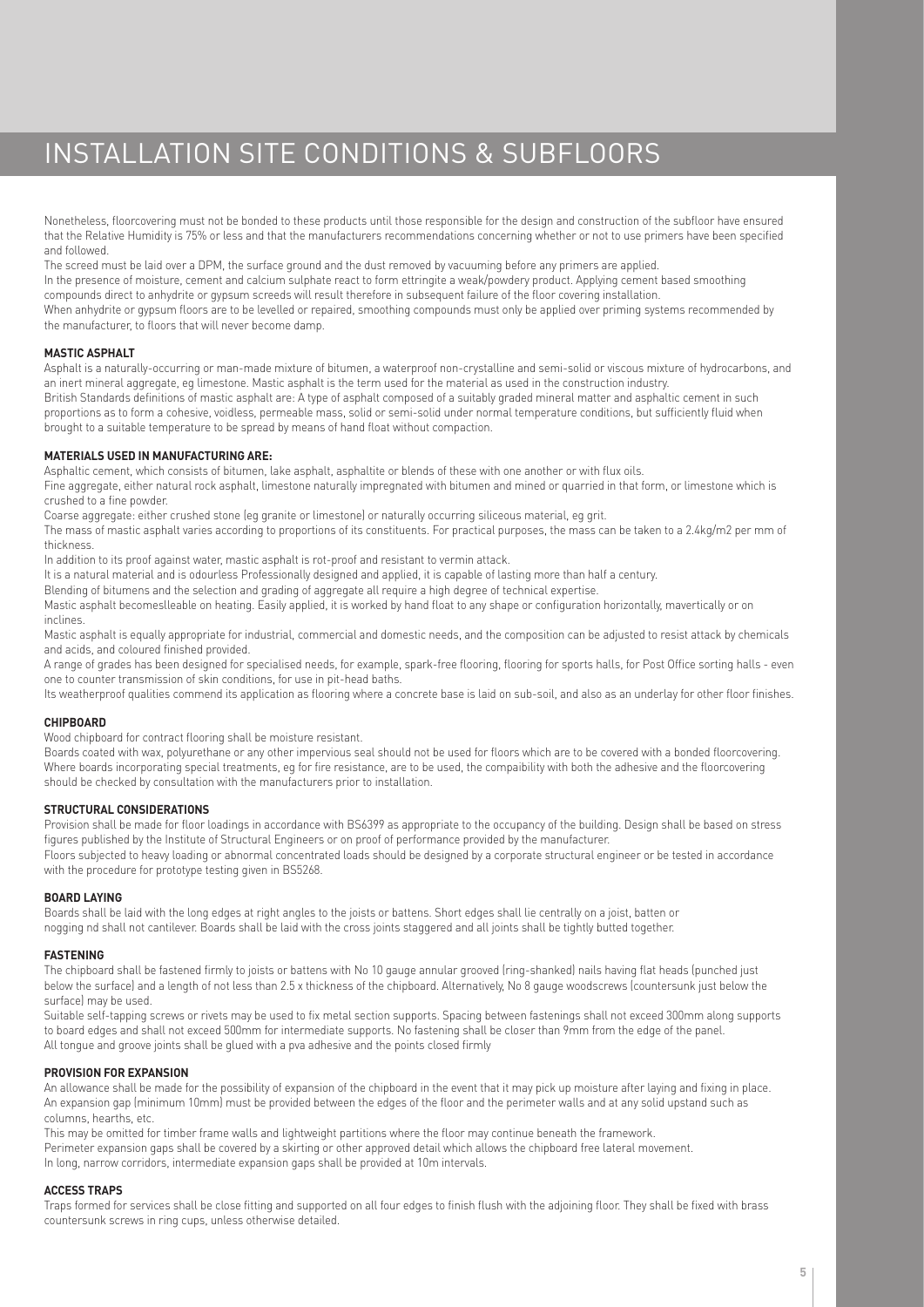# INSTALLATION SITE CONDITIONS & SUBFLOORS

Nonetheless, floorcovering must not be bonded to these products until those responsible for the design and construction of the subfloor have ensured that the Relative Humidity is 75% or less and that the manufacturers recommendations concerning whether or not to use primers have been specified and followed.

The screed must be laid over a DPM, the surface ground and the dust removed by vacuuming before any primers are applied. In the presence of moisture, cement and calcium sulphate react to form ettringite a weak/powdery product. Applying cement based smoothing compounds direct to anhydrite or gypsum screeds will result therefore in subsequent failure of the floor covering installation. When anhydrite or gypsum floors are to be levelled or repaired, smoothing compounds must only be applied over priming systems recommended by the manufacturer, to floors that will never become damp.

# **MASTIC ASPHALT**

Asphalt is a naturally-occurring or man-made mixture of bitumen, a waterproof non-crystalline and semi-solid or viscous mixture of hydrocarbons, and an inert mineral aggregate, eg limestone. Mastic asphalt is the term used for the material as used in the construction industry. British Standards definitions of mastic asphalt are: A type of asphalt composed of a suitably graded mineral matter and asphaltic cement in such proportions as to form a cohesive, voidless, permeable mass, solid or semi-solid under normal temperature conditions, but sufficiently fluid when brought to a suitable temperature to be spread by means of hand float without compaction.

# **MATERIALS USED IN MANUFACTURING ARE:**

Asphaltic cement, which consists of bitumen, lake asphalt, asphaltite or blends of these with one another or with flux oils.

Fine aggregate, either natural rock asphalt, limestone naturally impregnated with bitumen and mined or quarried in that form, or limestone which is crushed to a fine powder.

Coarse aggregate: either crushed stone (eg granite or limestone) or naturally occurring siliceous material, eg grit.

The mass of mastic asphalt varies according to proportions of its constituents. For practical purposes, the mass can be taken to a 2.4kg/m2 per mm of thickness.

In addition to its proof against water, mastic asphalt is rot-proof and resistant to vermin attack.

It is a natural material and is odourless Professionally designed and applied, it is capable of lasting more than half a century.

Blending of bitumens and the selection and grading of aggregate all require a high degree of technical expertise.

Mastic asphalt becomeslleable on heating. Easily applied, it is worked by hand float to any shape or configuration horizontally, mavertically or on inclines.

Mastic asphalt is equally appropriate for industrial, commercial and domestic needs, and the composition can be adjusted to resist attack by chemicals and acids, and coloured finished provided.

A range of grades has been designed for specialised needs, for example, spark-free flooring, flooring for sports halls, for Post Office sorting halls - even one to counter transmission of skin conditions, for use in pit-head baths.

Its weatherproof qualities commend its application as flooring where a concrete base is laid on sub-soil, and also as an underlay for other floor finishes.

# **CHIPBOARD**

Wood chipboard for contract flooring shall be moisture resistant.

Boards coated with wax, polyurethane or any other impervious seal should not be used for floors which are to be covered with a bonded floorcovering. Where boards incorporating special treatments, eg for fire resistance, are to be used, the compaibility with both the adhesive and the floorcovering should be checked by consultation with the manufacturers prior to installation.

### **STRUCTURAL CONSIDERATIONS**

Provision shall be made for floor loadings in accordance with BS6399 as appropriate to the occupancy of the building. Design shall be based on stress figures published by the Institute of Structural Engineers or on proof of performance provided by the manufacturer. Floors subjected to heavy loading or abnormal concentrated loads should be designed by a corporate structural engineer or be tested in accordance with the procedure for prototype testing given in BS5268.

### **BOARD LAYING**

Boards shall be laid with the long edges at right angles to the joists or battens. Short edges shall lie centrally on a joist, batten or nogging nd shall not cantilever. Boards shall be laid with the cross joints staggered and all joints shall be tightly butted together.

### **FASTENING**

The chipboard shall be fastened firmly to joists or battens with No 10 gauge annular grooved (ring-shanked) nails having flat heads (punched just below the surface) and a length of not less than 2.5 x thickness of the chipboard. Alternatively, No 8 gauge woodscrews (countersunk just below the surface) may be used.

Suitable self-tapping screws or rivets may be used to fix metal section supports. Spacing between fastenings shall not exceed 300mm along supports to board edges and shall not exceed 500mm for intermediate supports. No fastening shall be closer than 9mm from the edge of the panel. All tongue and groove joints shall be glued with a pva adhesive and the points closed firmly

### **PROVISION FOR EXPANSION**

An allowance shall be made for the possibility of expansion of the chipboard in the event that it may pick up moisture after laying and fixing in place. An expansion gap (minimum 10mm) must be provided between the edges of the floor and the perimeter walls and at any solid upstand such as columns, hearths, etc.

This may be omitted for timber frame walls and lightweight partitions where the floor may continue beneath the framework. Perimeter expansion gaps shall be covered by a skirting or other approved detail which allows the chipboard free lateral movement. In long, narrow corridors, intermediate expansion gaps shall be provided at 10m intervals.

# **ACCESS TRAPS**

Traps formed for services shall be close fitting and supported on all four edges to finish flush with the adjoining floor. They shall be fixed with brass countersunk screws in ring cups, unless otherwise detailed.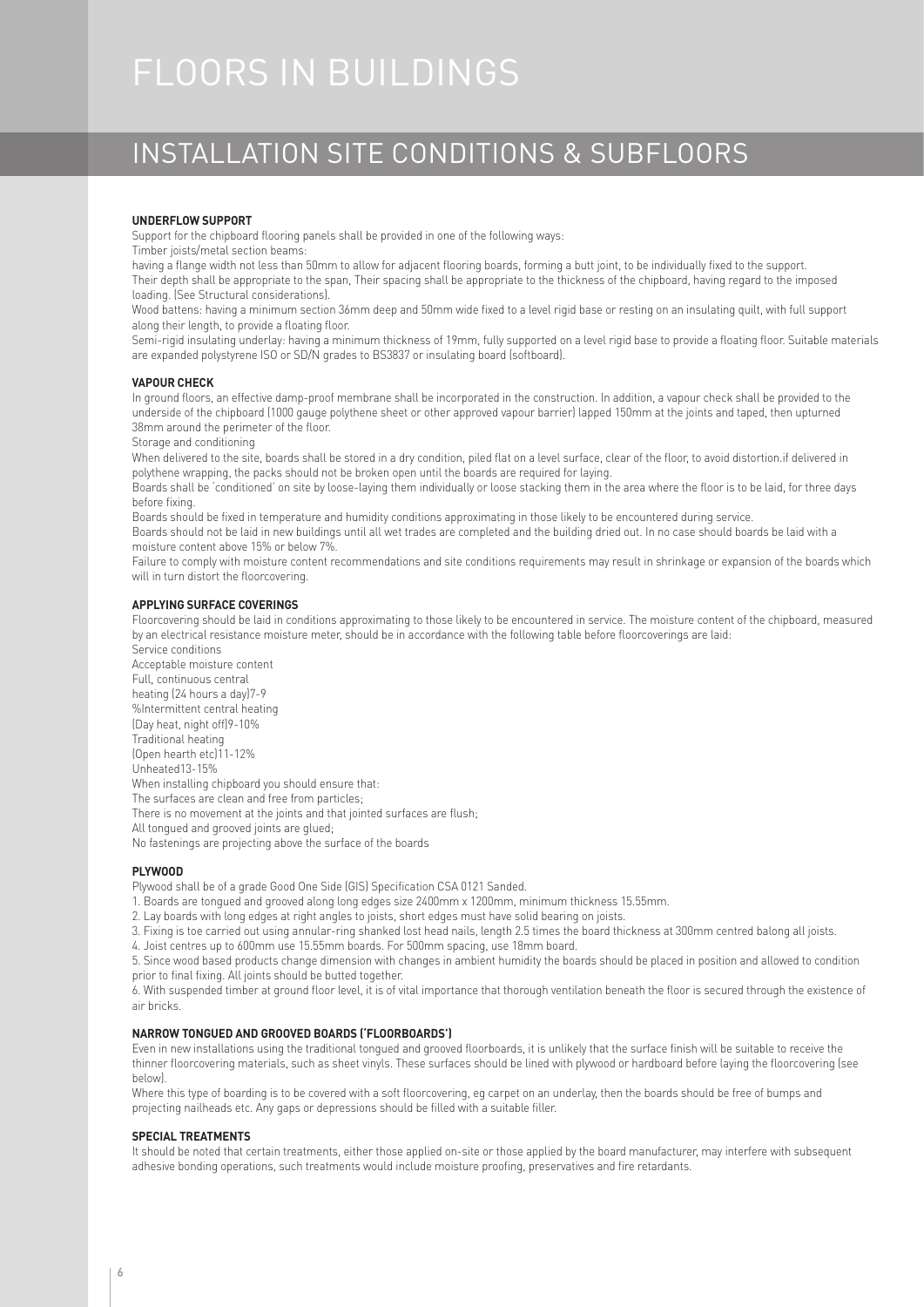# FLOORS IN BUILDINGS

# INSTALLATION SITE CONDITIONS & SUBFLOORS

### **UNDERFLOW SUPPORT**

Support for the chipboard flooring panels shall be provided in one of the following ways:

Timber joists/metal section beams:

having a flange width not less than 50mm to allow for adjacent flooring boards, forming a butt joint, to be individually fixed to the support. Their depth shall be appropriate to the span, Their spacing shall be appropriate to the thickness of the chipboard, having regard to the imposed loading. (See Structural considerations).

Wood battens: having a minimum section 36mm deep and 50mm wide fixed to a level rigid base or resting on an insulating quilt, with full support along their length, to provide a floating floor.

Semi-rigid insulating underlay: having a minimum thickness of 19mm, fully supported on a level rigid base to provide a floating floor. Suitable materials are expanded polystyrene ISO or SD/N grades to BS3837 or insulating board (softboard).

### **VAPOUR CHECK**

In ground floors, an effective damp-proof membrane shall be incorporated in the construction. In addition, a vapour check shall be provided to the underside of the chipboard (1000 gauge polythene sheet or other approved vapour barrier) lapped 150mm at the joints and taped, then upturned 38mm around the perimeter of the floor.

Storage and conditioning

When delivered to the site, boards shall be stored in a dry condition, piled flat on a level surface, clear of the floor, to avoid distortion.if delivered in polythene wrapping, the packs should not be broken open until the boards are required for laying.

Boards shall be 'conditioned' on site by loose-laying them individually or loose stacking them in the area where the floor is to be laid, for three days before fixing.

Boards should be fixed in temperature and humidity conditions approximating in those likely to be encountered during service.

Boards should not be laid in new buildings until all wet trades are completed and the building dried out. In no case should boards be laid with a moisture content above 15% or below 7%.

Failure to comply with moisture content recommendations and site conditions requirements may result in shrinkage or expansion of the boards which will in turn distort the floorcovering.

# **APPLYING SURFACE COVERINGS**

Floorcovering should be laid in conditions approximating to those likely to be encountered in service. The moisture content of the chipboard, measured by an electrical resistance moisture meter, should be in accordance with the following table before floorcoverings are laid:

Service conditions Acceptable moisture content Full, continuous central heating (24 hours a day)7-9 %Intermittent central heating (Day heat, night off)9-10% Traditional heating (Open hearth etc)11-12% Unheated13-15% When installing chipboard you should ensure that: The surfaces are clean and free from particles; There is no movement at the joints and that jointed surfaces are flush; All tongued and grooved joints are glued; No fastenings are projecting above the surface of the boards

**PLYWOOD**

Plywood shall be of a grade Good One Side (GIS) Specification CSA 0121 Sanded.

- 1. Boards are tongued and grooved along long edges size 2400mm x 1200mm, minimum thickness 15.55mm.
- 2. Lay boards with long edges at right angles to joists, short edges must have solid bearing on joists.
- 3. Fixing is toe carried out using annular-ring shanked lost head nails, length 2.5 times the board thickness at 300mm centred balong all joists.
- 4. Joist centres up to 600mm use 15.55mm boards. For 500mm spacing, use 18mm board.

5. Since wood based products change dimension with changes in ambient humidity the boards should be placed in position and allowed to condition prior to final fixing. All joints should be butted together.

6. With suspended timber at ground floor level, it is of vital importance that thorough ventilation beneath the floor is secured through the existence of air bricks.

# **NARROW TONGUED AND GROOVED BOARDS ('FLOORBOARDS')**

Even in new installations using the traditional tongued and grooved floorboards, it is unlikely that the surface finish will be suitable to receive the thinner floorcovering materials, such as sheet vinyls. These surfaces should be lined with plywood or hardboard before laying the floorcovering (see below).

Where this type of boarding is to be covered with a soft floorcovering, eg carpet on an underlay, then the boards should be free of bumps and projecting nailheads etc. Any gaps or depressions should be filled with a suitable filler.

### **SPECIAL TREATMENTS**

It should be noted that certain treatments, either those applied on-site or those applied by the board manufacturer, may interfere with subsequent adhesive bonding operations, such treatments would include moisture proofing, preservatives and fire retardants.